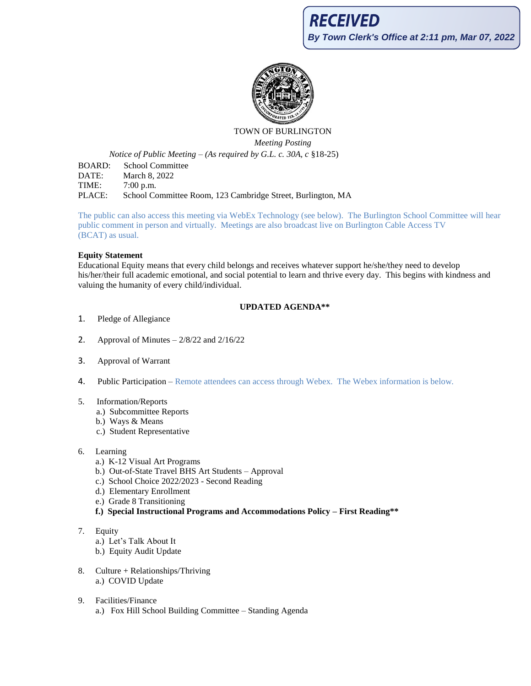

# TOWN OF BURLINGTON *Meeting Posting*

*Notice of Public Meeting – (As required by G.L. c. 30A, c* §18-25)

BOARD: School Committee DATE: March 8, 2022 TIME: 7:00 p.m. PLACE: School Committee Room, 123 Cambridge Street, Burlington, MA

The public can also access this meeting via WebEx Technology (see below). The Burlington School Committee will hear public comment in person and virtually. Meetings are also broadcast live on Burlington Cable Access TV (BCAT) as usual.

### **Equity Statement**

Educational Equity means that every child belongs and receives whatever support he/she/they need to develop his/her/their full academic emotional, and social potential to learn and thrive every day. This begins with kindness and valuing the humanity of every child/individual.

# **UPDATED AGENDA\*\***

- 1. Pledge of Allegiance
- 2. Approval of Minutes  $-2/8/22$  and  $2/16/22$
- 3. Approval of Warrant
- 4. Public Participation Remote attendees can access through Webex. The Webex information is below.
- 5. Information/Reports
	- a.) Subcommittee Reports
	- b.) Ways & Means
	- c.) Student Representative
- 6. Learning
	- a.) K-12 Visual Art Programs
	- b.) Out-of-State Travel BHS Art Students Approval
	- c.) School Choice 2022/2023 Second Reading
	- d.) Elementary Enrollment
	- e.) Grade 8 Transitioning
	- **f.) Special Instructional Programs and Accommodations Policy – First Reading\*\***
- 7. Equity
	- a.) Let's Talk About It
	- b.) Equity Audit Update
- 8. Culture + Relationships/Thriving a.) COVID Update
- 9. Facilities/Finance a.) Fox Hill School Building Committee – Standing Agenda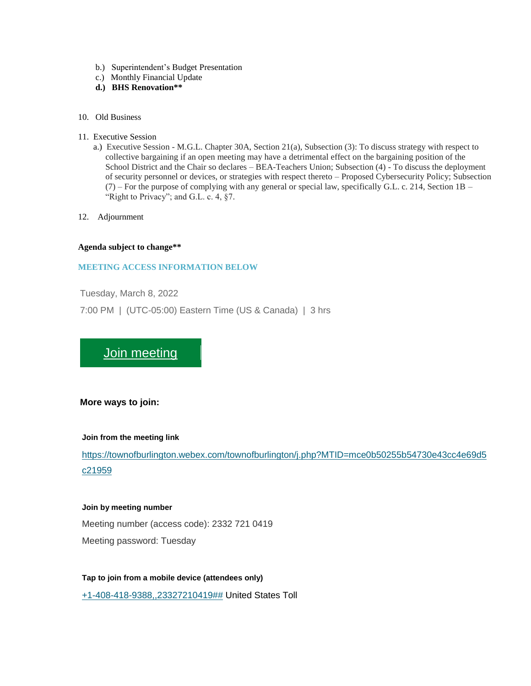- b.) Superintendent's Budget Presentation
- c.) Monthly Financial Update
- **d.) BHS Renovation\*\***
- 10. Old Business
- 11. Executive Session
	- a.) Executive Session M.G.L. Chapter 30A, Section 21(a), Subsection (3): To discuss strategy with respect to collective bargaining if an open meeting may have a detrimental effect on the bargaining position of the School District and the Chair so declares – BEA-Teachers Union; Subsection (4) - To discuss the deployment of security personnel or devices, or strategies with respect thereto – Proposed Cybersecurity Policy; Subsection  $(7)$  – For the purpose of complying with any general or special law, specifically G.L. c. 214, Section 1B – "Right to Privacy"; and G.L. c. 4,  $\S$ 7.
- 12. Adjournment

#### **Agenda subject to change\*\***

### **MEETING ACCESS INFORMATION BELOW**

Tuesday, March 8, 2022

7:00 PM | (UTC-05:00) Eastern Time (US & Canada) | 3 hrs

# [Join meeting](https://townofburlington.webex.com/townofburlington/j.php?MTID=mce0b50255b54730e43cc4e69d5c21959)

### **More ways to join:**

### **Join from the meeting link**

[https://townofburlington.webex.com/townofburlington/j.php?MTID=mce0b50255b54730e43cc4e69d5](https://townofburlington.webex.com/townofburlington/j.php?MTID=mce0b50255b54730e43cc4e69d5c21959) [c21959](https://townofburlington.webex.com/townofburlington/j.php?MTID=mce0b50255b54730e43cc4e69d5c21959)

#### **Join by meeting number**

Meeting number (access code): 2332 721 0419 Meeting password: Tuesday

**Tap to join from a mobile device (attendees only)** [+1-408-418-9388,,23327210419##](tel:%2B1-408-418-9388,,*01*23327210419%23%23*01*) United States Toll